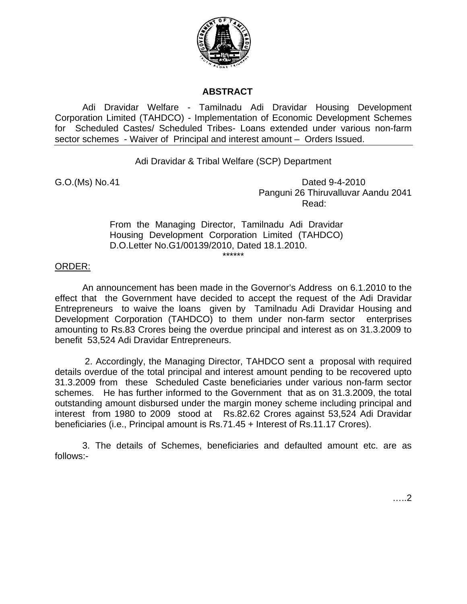

## **ABSTRACT**

Adi Dravidar Welfare - Tamilnadu Adi Dravidar Housing Development Corporation Limited (TAHDCO) - Implementation of Economic Development Schemes for Scheduled Castes/ Scheduled Tribes- Loans extended under various non-farm sector schemes - Waiver of Principal and interest amount – Orders Issued.

Adi Dravidar & Tribal Welfare (SCP) Department

G.O. (Ms) No. 41 Dated 9-4-2010 Panguni 26 Thiruvalluvar Aandu 2041 **Read:** The contract of the contract of the contract of the Read:

> From the Managing Director, Tamilnadu Adi Dravidar Housing Development Corporation Limited (TAHDCO) D.O.Letter No.G1/00139/2010, Dated 18.1.2010. \*\*\*\*\*\*

## ORDER:

An announcement has been made in the Governor's Address on 6.1.2010 to the effect that the Government have decided to accept the request of the Adi Dravidar Entrepreneurs to waive the loans given by Tamilnadu Adi Dravidar Housing and Development Corporation (TAHDCO) to them under non-farm sector enterprises amounting to Rs.83 Crores being the overdue principal and interest as on 31.3.2009 to benefit 53,524 Adi Dravidar Entrepreneurs.

 2. Accordingly, the Managing Director, TAHDCO sent a proposal with required details overdue of the total principal and interest amount pending to be recovered upto 31.3.2009 from these Scheduled Caste beneficiaries under various non-farm sector schemes. He has further informed to the Government that as on 31.3.2009, the total outstanding amount disbursed under the margin money scheme including principal and interest from 1980 to 2009 stood at Rs.82.62 Crores against 53,524 Adi Dravidar beneficiaries (i.e., Principal amount is Rs.71.45 + Interest of Rs.11.17 Crores).

3. The details of Schemes, beneficiaries and defaulted amount etc. are as follows:-

…..2